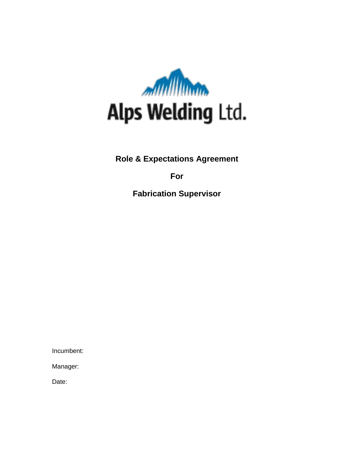

**Role & Expectations Agreement**

**For**

**Fabrication Supervisor**

Incumbent:

Manager:

Date: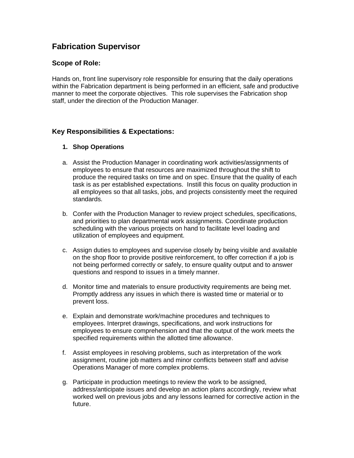# **Fabrication Supervisor**

# **Scope of Role:**

Hands on, front line supervisory role responsible for ensuring that the daily operations within the Fabrication department is being performed in an efficient, safe and productive manner to meet the corporate objectives. This role supervises the Fabrication shop staff, under the direction of the Production Manager.

# **Key Responsibilities & Expectations:**

#### **1. Shop Operations**

- a. Assist the Production Manager in coordinating work activities/assignments of employees to ensure that resources are maximized throughout the shift to produce the required tasks on time and on spec. Ensure that the quality of each task is as per established expectations. Instill this focus on quality production in all employees so that all tasks, jobs, and projects consistently meet the required standards.
- b. Confer with the Production Manager to review project schedules, specifications, and priorities to plan departmental work assignments. Coordinate production scheduling with the various projects on hand to facilitate level loading and utilization of employees and equipment.
- c. Assign duties to employees and supervise closely by being visible and available on the shop floor to provide positive reinforcement, to offer correction if a job is not being performed correctly or safely, to ensure quality output and to answer questions and respond to issues in a timely manner.
- d. Monitor time and materials to ensure productivity requirements are being met. Promptly address any issues in which there is wasted time or material or to prevent loss.
- e. Explain and demonstrate work/machine procedures and techniques to employees. Interpret drawings, specifications, and work instructions for employees to ensure comprehension and that the output of the work meets the specified requirements within the allotted time allowance.
- f. Assist employees in resolving problems, such as interpretation of the work assignment, routine job matters and minor conflicts between staff and advise Operations Manager of more complex problems.
- g. Participate in production meetings to review the work to be assigned, address/anticipate issues and develop an action plans accordingly, review what worked well on previous jobs and any lessons learned for corrective action in the future.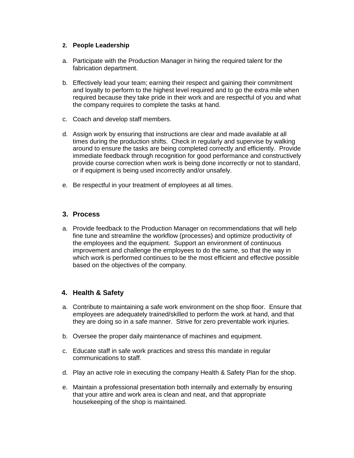#### **2. People Leadership**

- a. Participate with the Production Manager in hiring the required talent for the fabrication department.
- b. Effectively lead your team; earning their respect and gaining their commitment and loyalty to perform to the highest level required and to go the extra mile when required because they take pride in their work and are respectful of you and what the company requires to complete the tasks at hand.
- c. Coach and develop staff members.
- d. Assign work by ensuring that instructions are clear and made available at all times during the production shifts. Check in regularly and supervise by walking around to ensure the tasks are being completed correctly and efficiently. Provide immediate feedback through recognition for good performance and constructively provide course correction when work is being done incorrectly or not to standard, or if equipment is being used incorrectly and/or unsafely.
- e. Be respectful in your treatment of employees at all times.

#### **3. Process**

a. Provide feedback to the Production Manager on recommendations that will help fine tune and streamline the workflow (processes) and optimize productivity of the employees and the equipment. Support an environment of continuous improvement and challenge the employees to do the same, so that the way in which work is performed continues to be the most efficient and effective possible based on the objectives of the company.

### **4. Health & Safety**

- a. Contribute to maintaining a safe work environment on the shop floor. Ensure that employees are adequately trained/skilled to perform the work at hand, and that they are doing so in a safe manner. Strive for zero preventable work injuries.
- b. Oversee the proper daily maintenance of machines and equipment.
- c. Educate staff in safe work practices and stress this mandate in regular communications to staff.
- d. Play an active role in executing the company Health & Safety Plan for the shop.
- e. Maintain a professional presentation both internally and externally by ensuring that your attire and work area is clean and neat, and that appropriate housekeeping of the shop is maintained.